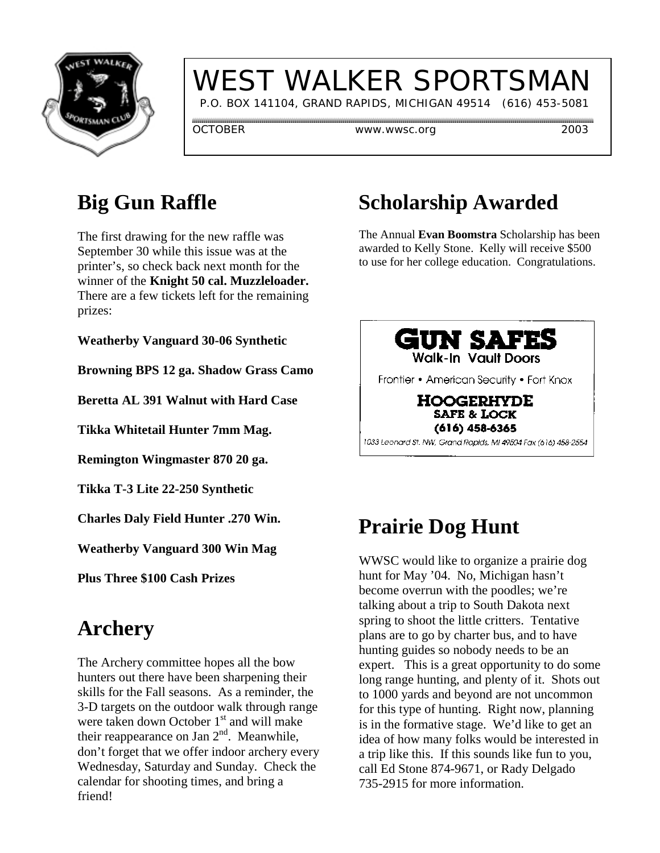

# WEST WALKER SPORTSMAN

P.O. BOX 141104, GRAND RAPIDS, MICHIGAN 49514 (616) 453-5081

OCTOBER www.wwsc.org 2003

#### **Big Gun Raffle**

The first drawing for the new raffle was September 30 while this issue was at the printer's, so check back next month for the winner of the **Knight 50 cal. Muzzleloader.** There are a few tickets left for the remaining prizes:

**Weatherby Vanguard 30-06 Synthetic**

**Browning BPS 12 ga. Shadow Grass Camo**

**Beretta AL 391 Walnut with Hard Case**

**Tikka Whitetail Hunter 7mm Mag.**

**Remington Wingmaster 870 20 ga.**

**Tikka T-3 Lite 22-250 Synthetic**

**Charles Daly Field Hunter .270 Win.**

**Weatherby Vanguard 300 Win Mag**

**Plus Three \$100 Cash Prizes**

#### **Archery**

The Archery committee hopes all the bow hunters out there have been sharpening their skills for the Fall seasons. As a reminder, the 3-D targets on the outdoor walk through range were taken down October 1<sup>st</sup> and will make their reappearance on Jan  $2<sup>nd</sup>$ . Meanwhile, don't forget that we offer indoor archery every Wednesday, Saturday and Sunday. Check the calendar for shooting times, and bring a friend!

## **Scholarship Awarded**

The Annual **Evan Boomstra** Scholarship has been awarded to Kelly Stone. Kelly will receive \$500 to use for her college education. Congratulations.



### **Prairie Dog Hunt**

WWSC would like to organize a prairie dog hunt for May '04. No, Michigan hasn't become overrun with the poodles; we're talking about a trip to South Dakota next spring to shoot the little critters. Tentative plans are to go by charter bus, and to have hunting guides so nobody needs to be an expert. This is a great opportunity to do some long range hunting, and plenty of it. Shots out to 1000 yards and beyond are not uncommon for this type of hunting. Right now, planning is in the formative stage. We'd like to get an idea of how many folks would be interested in a trip like this. If this sounds like fun to you, call Ed Stone 874-9671, or Rady Delgado 735-2915 for more information.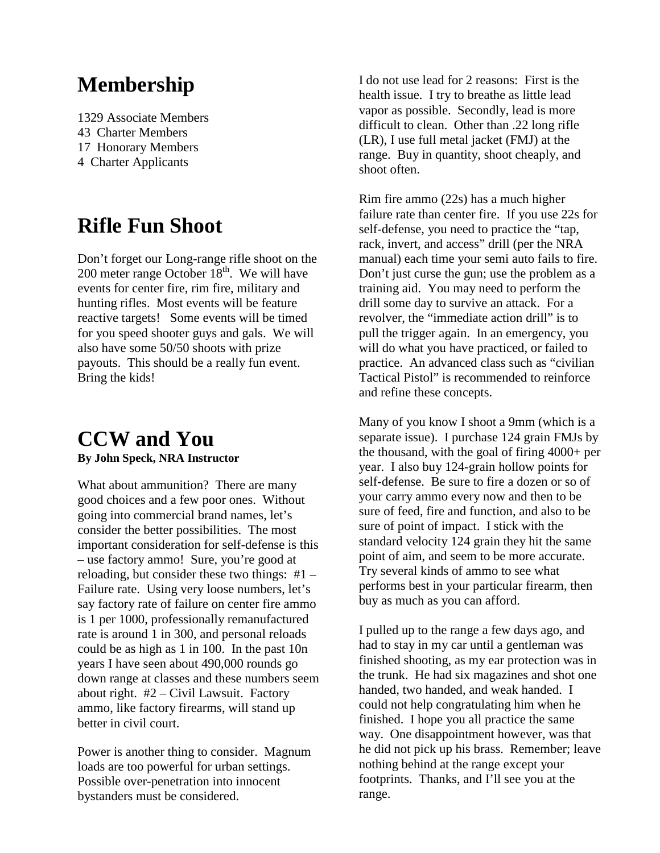#### **Membership**

1329 Associate Members 43 Charter Members 17 Honorary Members 4 Charter Applicants

#### **Rifle Fun Shoot**

Don't forget our Long-range rifle shoot on the 200 meter range October  $18<sup>th</sup>$ . We will have events for center fire, rim fire, military and hunting rifles. Most events will be feature reactive targets! Some events will be timed for you speed shooter guys and gals. We will also have some 50/50 shoots with prize payouts. This should be a really fun event. Bring the kids!

#### **CCW and You By John Speck, NRA Instructor**

What about ammunition? There are many good choices and a few poor ones. Without going into commercial brand names, let's consider the better possibilities. The most important consideration for self-defense is this – use factory ammo! Sure, you're good at reloading, but consider these two things: #1 – Failure rate. Using very loose numbers, let's say factory rate of failure on center fire ammo is 1 per 1000, professionally remanufactured rate is around 1 in 300, and personal reloads could be as high as 1 in 100. In the past 10n years I have seen about 490,000 rounds go down range at classes and these numbers seem about right. #2 – Civil Lawsuit. Factory ammo, like factory firearms, will stand up better in civil court.

Power is another thing to consider. Magnum loads are too powerful for urban settings. Possible over-penetration into innocent bystanders must be considered.

I do not use lead for 2 reasons: First is the health issue. I try to breathe as little lead vapor as possible. Secondly, lead is more difficult to clean. Other than .22 long rifle (LR), I use full metal jacket (FMJ) at the range. Buy in quantity, shoot cheaply, and shoot often.

Rim fire ammo (22s) has a much higher failure rate than center fire. If you use 22s for self-defense, you need to practice the "tap, rack, invert, and access" drill (per the NRA manual) each time your semi auto fails to fire. Don't just curse the gun; use the problem as a training aid. You may need to perform the drill some day to survive an attack. For a revolver, the "immediate action drill" is to pull the trigger again. In an emergency, you will do what you have practiced, or failed to practice. An advanced class such as "civilian Tactical Pistol" is recommended to reinforce and refine these concepts.

Many of you know I shoot a 9mm (which is a separate issue). I purchase 124 grain FMJs by the thousand, with the goal of firing 4000+ per year. I also buy 124-grain hollow points for self-defense. Be sure to fire a dozen or so of your carry ammo every now and then to be sure of feed, fire and function, and also to be sure of point of impact. I stick with the standard velocity 124 grain they hit the same point of aim, and seem to be more accurate. Try several kinds of ammo to see what performs best in your particular firearm, then buy as much as you can afford.

I pulled up to the range a few days ago, and had to stay in my car until a gentleman was finished shooting, as my ear protection was in the trunk. He had six magazines and shot one handed, two handed, and weak handed. I could not help congratulating him when he finished. I hope you all practice the same way. One disappointment however, was that he did not pick up his brass. Remember; leave nothing behind at the range except your footprints. Thanks, and I'll see you at the range.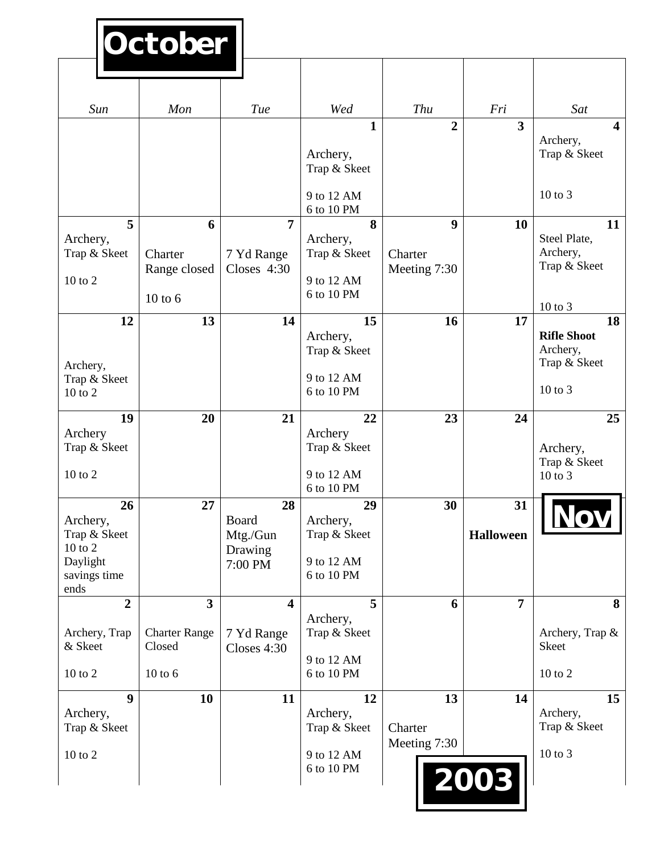# **October**

| Sun                                                                                                                                                                                    | Mon                                                                                  | Tue                                                                                                | Wed                                                                                                                                                      | Thu                                                            | Fri                                  | Sat                                                                                                                                                                                    |
|----------------------------------------------------------------------------------------------------------------------------------------------------------------------------------------|--------------------------------------------------------------------------------------|----------------------------------------------------------------------------------------------------|----------------------------------------------------------------------------------------------------------------------------------------------------------|----------------------------------------------------------------|--------------------------------------|----------------------------------------------------------------------------------------------------------------------------------------------------------------------------------------|
|                                                                                                                                                                                        |                                                                                      |                                                                                                    | 1                                                                                                                                                        | $\overline{2}$                                                 | $\overline{\mathbf{3}}$              | $\overline{\mathbf{4}}$                                                                                                                                                                |
|                                                                                                                                                                                        |                                                                                      |                                                                                                    |                                                                                                                                                          |                                                                |                                      | Archery,<br>Trap & Skeet                                                                                                                                                               |
|                                                                                                                                                                                        |                                                                                      |                                                                                                    | Archery,<br>Trap & Skeet                                                                                                                                 |                                                                |                                      |                                                                                                                                                                                        |
|                                                                                                                                                                                        |                                                                                      |                                                                                                    |                                                                                                                                                          |                                                                |                                      |                                                                                                                                                                                        |
|                                                                                                                                                                                        |                                                                                      |                                                                                                    | 9 to 12 AM<br>6 to 10 PM                                                                                                                                 |                                                                |                                      | $10$ to $3$                                                                                                                                                                            |
| 5                                                                                                                                                                                      | 6                                                                                    | 7                                                                                                  | 8                                                                                                                                                        | 9                                                              | 10                                   | 11                                                                                                                                                                                     |
| Archery,                                                                                                                                                                               |                                                                                      |                                                                                                    | Archery,                                                                                                                                                 |                                                                |                                      | Steel Plate,                                                                                                                                                                           |
|                                                                                                                                                                                        |                                                                                      |                                                                                                    |                                                                                                                                                          |                                                                |                                      |                                                                                                                                                                                        |
| 10 to 2                                                                                                                                                                                |                                                                                      |                                                                                                    | 9 to 12 AM                                                                                                                                               |                                                                |                                      |                                                                                                                                                                                        |
|                                                                                                                                                                                        | $10$ to $6$                                                                          |                                                                                                    | 6 to 10 PM                                                                                                                                               |                                                                |                                      |                                                                                                                                                                                        |
|                                                                                                                                                                                        |                                                                                      |                                                                                                    |                                                                                                                                                          |                                                                |                                      | 18                                                                                                                                                                                     |
|                                                                                                                                                                                        |                                                                                      |                                                                                                    | Archery,                                                                                                                                                 |                                                                |                                      | <b>Rifle Shoot</b>                                                                                                                                                                     |
|                                                                                                                                                                                        |                                                                                      |                                                                                                    | Trap & Skeet                                                                                                                                             |                                                                |                                      |                                                                                                                                                                                        |
|                                                                                                                                                                                        |                                                                                      |                                                                                                    | 9 to 12 AM                                                                                                                                               |                                                                |                                      |                                                                                                                                                                                        |
| 10 to 2                                                                                                                                                                                |                                                                                      |                                                                                                    | 6 to 10 PM                                                                                                                                               |                                                                |                                      | $10$ to $3$                                                                                                                                                                            |
|                                                                                                                                                                                        |                                                                                      |                                                                                                    |                                                                                                                                                          |                                                                |                                      |                                                                                                                                                                                        |
| Archery                                                                                                                                                                                |                                                                                      |                                                                                                    | Archery                                                                                                                                                  |                                                                |                                      |                                                                                                                                                                                        |
| Trap & Skeet                                                                                                                                                                           |                                                                                      |                                                                                                    | Trap & Skeet                                                                                                                                             |                                                                |                                      | Archery,                                                                                                                                                                               |
|                                                                                                                                                                                        |                                                                                      |                                                                                                    |                                                                                                                                                          |                                                                |                                      |                                                                                                                                                                                        |
|                                                                                                                                                                                        |                                                                                      |                                                                                                    | 6 to 10 PM                                                                                                                                               |                                                                |                                      |                                                                                                                                                                                        |
| 26                                                                                                                                                                                     | 27                                                                                   | 28                                                                                                 | 29                                                                                                                                                       | 30                                                             | 31                                   |                                                                                                                                                                                        |
|                                                                                                                                                                                        |                                                                                      |                                                                                                    |                                                                                                                                                          |                                                                |                                      |                                                                                                                                                                                        |
| $10$ to $2$                                                                                                                                                                            |                                                                                      |                                                                                                    |                                                                                                                                                          |                                                                |                                      |                                                                                                                                                                                        |
| Daylight                                                                                                                                                                               |                                                                                      | 7:00 PM                                                                                            | 9 to 12 AM                                                                                                                                               |                                                                |                                      |                                                                                                                                                                                        |
|                                                                                                                                                                                        |                                                                                      |                                                                                                    |                                                                                                                                                          |                                                                |                                      |                                                                                                                                                                                        |
| $\overline{2}$                                                                                                                                                                         | $\overline{\mathbf{3}}$                                                              | $\overline{\mathbf{4}}$                                                                            | 5                                                                                                                                                        | 6                                                              | $\overline{7}$                       | 8                                                                                                                                                                                      |
|                                                                                                                                                                                        |                                                                                      |                                                                                                    | Archery,                                                                                                                                                 |                                                                |                                      |                                                                                                                                                                                        |
|                                                                                                                                                                                        |                                                                                      |                                                                                                    |                                                                                                                                                          |                                                                |                                      |                                                                                                                                                                                        |
|                                                                                                                                                                                        |                                                                                      |                                                                                                    | 9 to 12 AM                                                                                                                                               |                                                                |                                      |                                                                                                                                                                                        |
|                                                                                                                                                                                        |                                                                                      |                                                                                                    |                                                                                                                                                          |                                                                |                                      |                                                                                                                                                                                        |
| $\boldsymbol{9}$                                                                                                                                                                       | 10                                                                                   | 11                                                                                                 | 12                                                                                                                                                       | 13                                                             | 14                                   | 15                                                                                                                                                                                     |
|                                                                                                                                                                                        |                                                                                      |                                                                                                    |                                                                                                                                                          |                                                                |                                      |                                                                                                                                                                                        |
|                                                                                                                                                                                        |                                                                                      |                                                                                                    |                                                                                                                                                          |                                                                |                                      |                                                                                                                                                                                        |
| 10 to 2                                                                                                                                                                                |                                                                                      |                                                                                                    | 9 to 12 AM                                                                                                                                               |                                                                |                                      | 10 to 3                                                                                                                                                                                |
|                                                                                                                                                                                        |                                                                                      |                                                                                                    |                                                                                                                                                          |                                                                |                                      |                                                                                                                                                                                        |
|                                                                                                                                                                                        |                                                                                      |                                                                                                    |                                                                                                                                                          |                                                                |                                      |                                                                                                                                                                                        |
| Trap & Skeet<br>12<br>Archery,<br>Trap & Skeet<br>19<br>10 to 2<br>Archery,<br>Trap & Skeet<br>savings time<br>ends<br>Archery, Trap<br>& Skeet<br>10 to 2<br>Archery,<br>Trap & Skeet | Charter<br>Range closed<br>13<br>20<br><b>Charter Range</b><br>Closed<br>$10$ to $6$ | 7 Yd Range<br>Closes 4:30<br>14<br>21<br>Board<br>Mtg./Gun<br>Drawing<br>7 Yd Range<br>Closes 4:30 | Trap & Skeet<br>15<br>22<br>9 to 12 AM<br>Archery,<br>Trap & Skeet<br>6 to 10 PM<br>Trap & Skeet<br>6 to 10 PM<br>Archery,<br>Trap & Skeet<br>6 to 10 PM | Charter<br>Meeting 7:30<br>16<br>23<br>Charter<br>Meeting 7:30 | 17<br>24<br><b>Halloween</b><br>2003 | Archery,<br>Trap & Skeet<br>$10$ to $3$<br>Archery,<br>Trap & Skeet<br>25<br>Trap & Skeet<br>$10$ to $3$<br>Archery, Trap &<br><b>Skeet</b><br>$10$ to $2$<br>Archery,<br>Trap & Skeet |